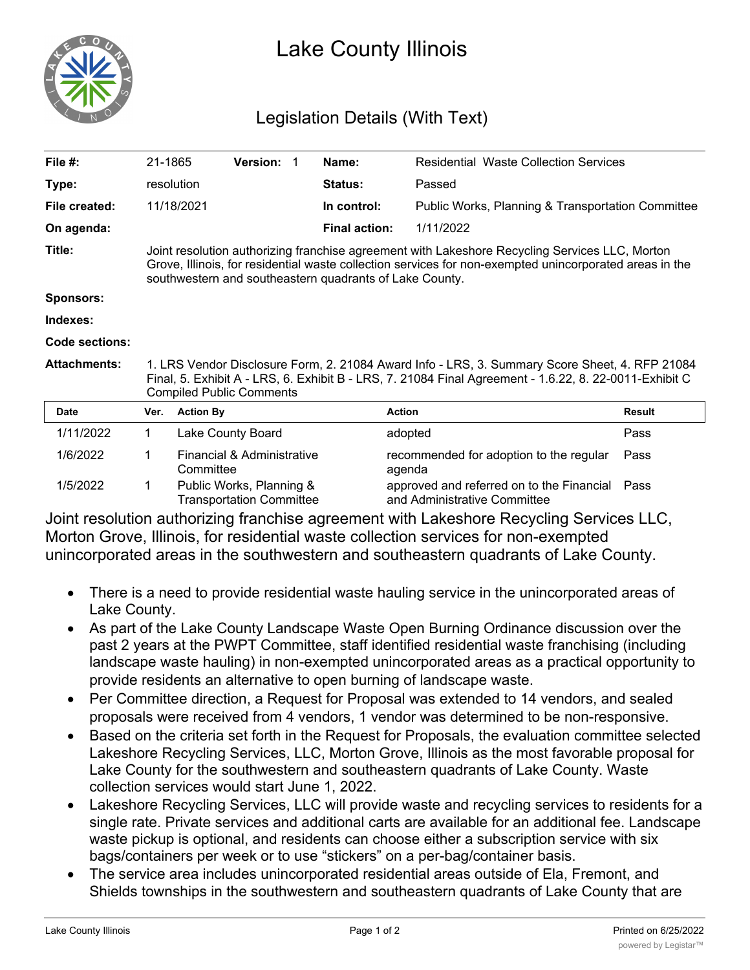

## Lake County Illinois

## Legislation Details (With Text)

| File #:             | 21-1865                                                                                                                                                                                                                                                              |                                                             | Version:                   |  | Name:                | <b>Residential Waste Collection Services</b>                              |               |
|---------------------|----------------------------------------------------------------------------------------------------------------------------------------------------------------------------------------------------------------------------------------------------------------------|-------------------------------------------------------------|----------------------------|--|----------------------|---------------------------------------------------------------------------|---------------|
| Type:               |                                                                                                                                                                                                                                                                      | resolution                                                  |                            |  | <b>Status:</b>       | Passed                                                                    |               |
| File created:       |                                                                                                                                                                                                                                                                      | 11/18/2021                                                  |                            |  | In control:          | <b>Public Works, Planning &amp; Transportation Committee</b>              |               |
| On agenda:          |                                                                                                                                                                                                                                                                      |                                                             |                            |  | <b>Final action:</b> | 1/11/2022                                                                 |               |
| Title:              | Joint resolution authorizing franchise agreement with Lakeshore Recycling Services LLC, Morton<br>Grove, Illinois, for residential waste collection services for non-exempted unincorporated areas in the<br>southwestern and southeastern quadrants of Lake County. |                                                             |                            |  |                      |                                                                           |               |
| <b>Sponsors:</b>    |                                                                                                                                                                                                                                                                      |                                                             |                            |  |                      |                                                                           |               |
| Indexes:            |                                                                                                                                                                                                                                                                      |                                                             |                            |  |                      |                                                                           |               |
| Code sections:      |                                                                                                                                                                                                                                                                      |                                                             |                            |  |                      |                                                                           |               |
| <b>Attachments:</b> | 1. LRS Vendor Disclosure Form, 2. 21084 Award Info - LRS, 3. Summary Score Sheet, 4. RFP 21084<br>Final, 5. Exhibit A - LRS, 6. Exhibit B - LRS, 7. 21084 Final Agreement - 1.6.22, 8. 22-0011-Exhibit C<br><b>Compiled Public Comments</b>                          |                                                             |                            |  |                      |                                                                           |               |
| <b>Date</b>         | Ver.                                                                                                                                                                                                                                                                 | <b>Action By</b>                                            |                            |  |                      | <b>Action</b>                                                             | <b>Result</b> |
| 1/11/2022           | 1                                                                                                                                                                                                                                                                    |                                                             | Lake County Board          |  |                      | adopted                                                                   | Pass          |
| 1/6/2022            | 1                                                                                                                                                                                                                                                                    | Committee                                                   | Financial & Administrative |  |                      | recommended for adoption to the regular<br>agenda                         | Pass          |
| 1/5/2022            | 1                                                                                                                                                                                                                                                                    | Public Works, Planning &<br><b>Transportation Committee</b> |                            |  |                      | approved and referred on to the Financial<br>and Administrative Committee | Pass          |

Joint resolution authorizing franchise agreement with Lakeshore Recycling Services LLC, Morton Grove, Illinois, for residential waste collection services for non-exempted unincorporated areas in the southwestern and southeastern quadrants of Lake County.

- · There is a need to provide residential waste hauling service in the unincorporated areas of Lake County.
- As part of the Lake County Landscape Waste Open Burning Ordinance discussion over the past 2 years at the PWPT Committee, staff identified residential waste franchising (including landscape waste hauling) in non-exempted unincorporated areas as a practical opportunity to provide residents an alternative to open burning of landscape waste.
- · Per Committee direction, a Request for Proposal was extended to 14 vendors, and sealed proposals were received from 4 vendors, 1 vendor was determined to be non-responsive.
- · Based on the criteria set forth in the Request for Proposals, the evaluation committee selected Lakeshore Recycling Services, LLC, Morton Grove, Illinois as the most favorable proposal for Lake County for the southwestern and southeastern quadrants of Lake County. Waste collection services would start June 1, 2022.
- · Lakeshore Recycling Services, LLC will provide waste and recycling services to residents for a single rate. Private services and additional carts are available for an additional fee. Landscape waste pickup is optional, and residents can choose either a subscription service with six bags/containers per week or to use "stickers" on a per-bag/container basis.
- · The service area includes unincorporated residential areas outside of Ela, Fremont, and Shields townships in the southwestern and southeastern quadrants of Lake County that are